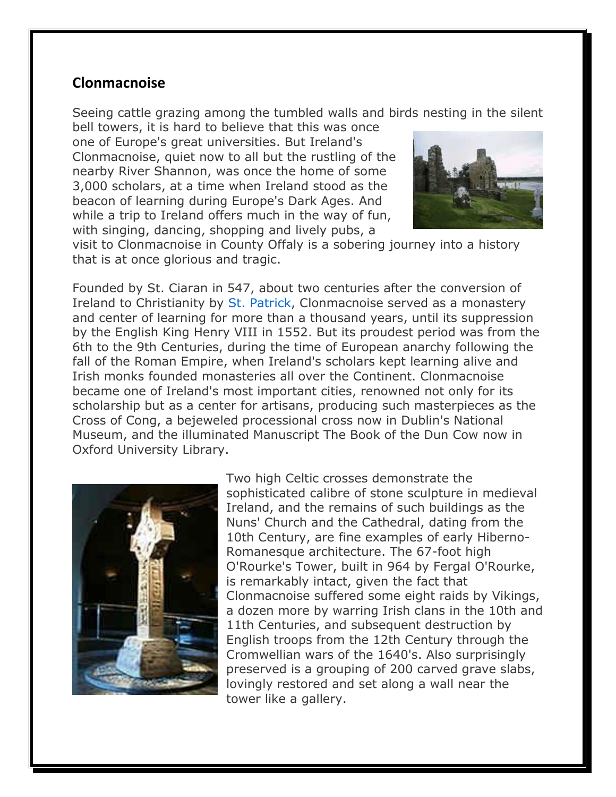## **Clonmacnoise**

Seeing cattle grazing among the tumbled walls and birds nesting in the silent

bell towers, it is hard to believe that this was once one of Europe's great universities. But Ireland's Clonmacnoise, quiet now to all but the rustling of the nearby River Shannon, was once the home of some 3,000 scholars, at a time when Ireland stood as the beacon of learning during Europe's Dark Ages. And while a trip to Ireland offers much in the way of fun, with singing, dancing, shopping and lively pubs, a



visit to Clonmacnoise in County Offaly is a sobering journey into a history that is at once glorious and tragic.

Founded by St. Ciaran in 547, about two centuries after the conversion of Ireland to Christianity by St. Patrick, Clonmacnoise served as a monastery and center of learning for more than a thousand years, until its suppression by the English King Henry VIII in 1552. But its proudest period was from the 6th to the 9th Centuries, during the time of European anarchy following the fall of the Roman Empire, when Ireland's scholars kept learning alive and Irish monks founded monasteries all over the Continent. Clonmacnoise became one of Ireland's most important cities, renowned not only for its scholarship but as a center for artisans, producing such masterpieces as the Cross of Cong, a bejeweled processional cross now in Dublin's National Museum, and the illuminated Manuscript The Book of the Dun Cow now in Oxford University Library.



Two high Celtic crosses demonstrate the sophisticated calibre of stone sculpture in medieval Ireland, and the remains of such buildings as the Nuns' Church and the Cathedral, dating from the 10th Century, are fine examples of early Hiberno-Romanesque architecture. The 67-foot high O'Rourke's Tower, built in 964 by Fergal O'Rourke, is remarkably intact, given the fact that Clonmacnoise suffered some eight raids by Vikings, a dozen more by warring Irish clans in the 10th and 11th Centuries, and subsequent destruction by English troops from the 12th Century through the Cromwellian wars of the 1640's. Also surprisingly preserved is a grouping of 200 carved grave slabs, lovingly restored and set along a wall near the tower like a gallery.